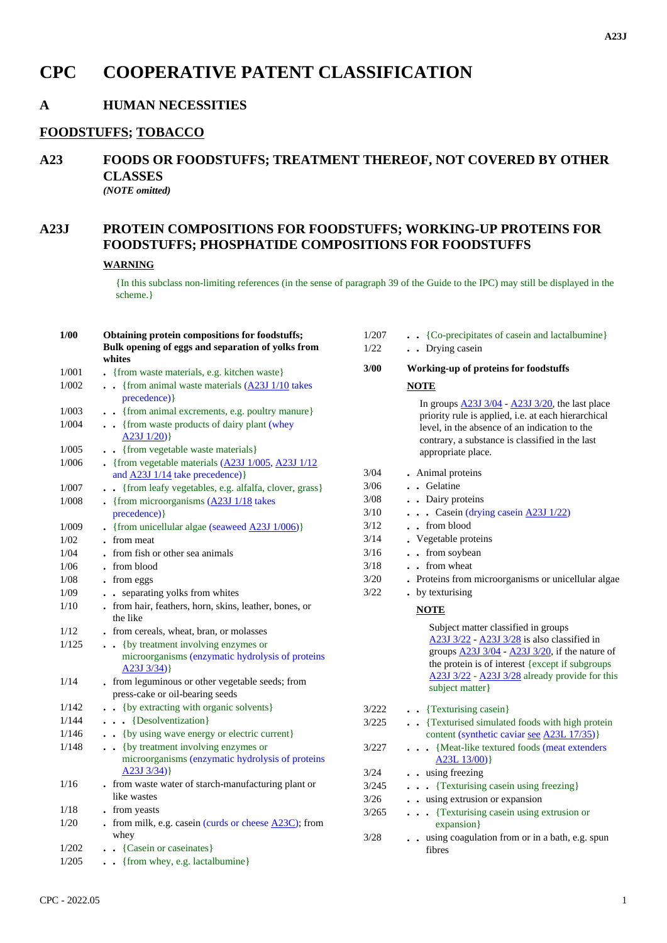# **CPC COOPERATIVE PATENT CLASSIFICATION**

### **A HUMAN NECESSITIES**

#### **FOODSTUFFS; TOBACCO**

# **A23 FOODS OR FOODSTUFFS; TREATMENT THEREOF, NOT COVERED BY OTHER CLASSES**

*(NOTE omitted)*

## **A23J PROTEIN COMPOSITIONS FOR FOODSTUFFS; WORKING-UP PROTEINS FOR FOODSTUFFS; PHOSPHATIDE COMPOSITIONS FOR FOODSTUFFS**

#### **WARNING**

{In this subclass non-limiting references (in the sense of paragraph 39 of the Guide to the IPC) may still be displayed in the scheme.}

| $1/00$ | Obtaining protein compositions for foodstuffs;<br>Bulk opening of eggs and separation of yolks from         | 1/207<br>1/22 | • • {Co-precipitates of casein and lactalbumine}<br>. Drying casein                                                                                                                                                                     |
|--------|-------------------------------------------------------------------------------------------------------------|---------------|-----------------------------------------------------------------------------------------------------------------------------------------------------------------------------------------------------------------------------------------|
| 1/001  | whites<br>. {from waste materials, e.g. kitchen waste}                                                      | 3/00          | Working-up of proteins for foodstuffs                                                                                                                                                                                                   |
| 1/002  | $\bullet$ (from animal waste materials $(\underline{A23J} 1/10)$ takes                                      |               | <b>NOTE</b>                                                                                                                                                                                                                             |
|        | precedence) }                                                                                               |               |                                                                                                                                                                                                                                         |
| 1/003  | . {from animal excrements, e.g. poultry manure}                                                             |               | In groups $\frac{A23J \frac{3}{04}}{2}$ - $\frac{A23J \frac{3}{20}}{2}$ , the last place<br>priority rule is applied, i.e. at each hierarchical                                                                                         |
| 1/004  | . {from waste products of dairy plant (whey<br>$A23J1/20$ }                                                 |               | level, in the absence of an indication to the<br>contrary, a substance is classified in the last                                                                                                                                        |
| 1/005  | . {from vegetable waste materials}                                                                          |               | appropriate place.                                                                                                                                                                                                                      |
| 1/006  | . {from vegetable materials $(A23J 1/005, A23J 1/12)$                                                       |               |                                                                                                                                                                                                                                         |
|        | and $\angle$ A23J 1/14 take precedence) }                                                                   | 3/04          | • Animal proteins                                                                                                                                                                                                                       |
| 1/007  | . {from leafy vegetables, e.g. alfalfa, clover, grass}                                                      | 3/06          | . . Gelatine                                                                                                                                                                                                                            |
| 1/008  | • {from microorganisms $(A23J1/18)$ takes                                                                   | 3/08          | . Dairy proteins                                                                                                                                                                                                                        |
|        | precedence) }                                                                                               | 3/10          | . Casein (drying casein A23J 1/22)                                                                                                                                                                                                      |
| 1/009  | • {from unicellular algae (seaweed $\angle$ A23J 1/006)}                                                    | $3/12$        | . from blood                                                                                                                                                                                                                            |
| 1/02   | . from meat                                                                                                 | 3/14          | . Vegetable proteins                                                                                                                                                                                                                    |
| 1/04   | . from fish or other sea animals                                                                            | $3/16$        | . . from soybean                                                                                                                                                                                                                        |
| 1/06   | . from blood                                                                                                | 3/18          | . from wheat                                                                                                                                                                                                                            |
| 1/08   | . from eggs                                                                                                 | $3/20$        | . Proteins from microorganisms or unicellular algae                                                                                                                                                                                     |
| 1/09   | . . separating yolks from whites                                                                            | 3/22          | • by texturising                                                                                                                                                                                                                        |
| 1/10   | . from hair, feathers, horn, skins, leather, bones, or<br>the like                                          |               | <b>NOTE</b>                                                                                                                                                                                                                             |
| 1/12   | . from cereals, wheat, bran, or molasses                                                                    |               | Subject matter classified in groups                                                                                                                                                                                                     |
| 1/125  | . . {by treatment involving enzymes or<br>microorganisms (enzymatic hydrolysis of proteins<br>$A23J3/34)$ } |               | A23J 3/22 - A23J 3/28 is also classified in<br>groups $A23J\frac{3}{04} - A23J\frac{3}{20}$ , if the nature of<br>the protein is of interest {except if subgroups}<br>A23J 3/22 - A23J 3/28 already provide for this<br>subject matter} |
| 1/14   | . from leguminous or other vegetable seeds; from<br>press-cake or oil-bearing seeds                         |               |                                                                                                                                                                                                                                         |
| 1/142  | . . {by extracting with organic solvents}                                                                   | 3/222         | . Texturising casein}                                                                                                                                                                                                                   |
| 1/144  | {Desolventization}                                                                                          | 3/225         | . Texturised simulated foods with high protein                                                                                                                                                                                          |
| 1/146  | . . {by using wave energy or electric current}                                                              |               | content (synthetic caviar see A23L 17/35)}                                                                                                                                                                                              |
| 1/148  | . . {by treatment involving enzymes or<br>microorganisms (enzymatic hydrolysis of proteins                  | 3/227         | . {Meat-like textured foods (meat extenders<br>A23L $13/00$ }                                                                                                                                                                           |
|        | $A23J 3/34$ }                                                                                               | 3/24          | . . using freezing                                                                                                                                                                                                                      |
| 1/16   | . from waste water of starch-manufacturing plant or                                                         | 3/245         | . {Texturising case in using freezing}                                                                                                                                                                                                  |
|        | like wastes                                                                                                 | $3/26$        | . . using extrusion or expansion                                                                                                                                                                                                        |
| 1/18   | . from yeasts                                                                                               | 3/265         | . {Texturising case in using extrusion or                                                                                                                                                                                               |
| $1/20$ | . from milk, e.g. casein (curds or cheese $A23C$ ); from<br>whey                                            | $3/28$        | expansion}<br>. . using coagulation from or in a bath, e.g. spun                                                                                                                                                                        |
| 1/202  | . {Casein or caseinates}                                                                                    |               | fibres                                                                                                                                                                                                                                  |
| 1/205  | . {from whey, e.g. lactalbumine}                                                                            |               |                                                                                                                                                                                                                                         |